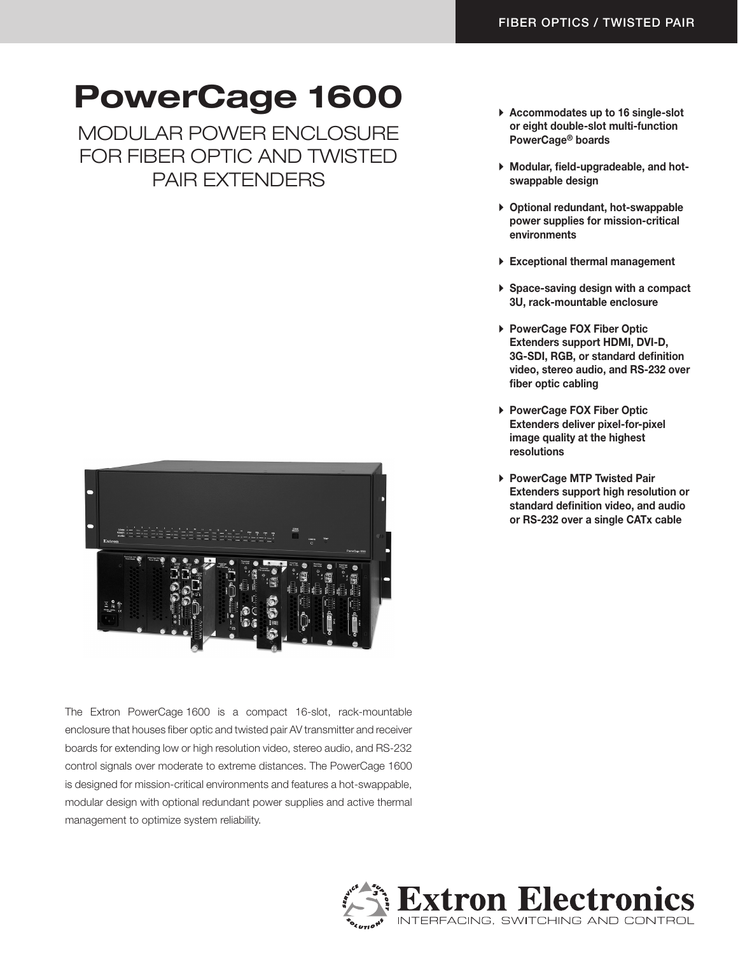# PowerCage 1600

Modular Power Enclosure for Fiber Optic and Twisted Pair Extenders



The Extron PowerCage 1600 is a compact 16-slot, rack-mountable enclosure that houses fiber optic and twisted pair AV transmitter and receiver boards for extending low or high resolution video, stereo audio, and RS-232 control signals over moderate to extreme distances. The PowerCage 1600 is designed for mission-critical environments and features a hot-swappable, modular design with optional redundant power supplies and active thermal management to optimize system reliability.

- ▶ Accommodates up to 16 single-slot or eight double-slot multi-function PowerCage® boards
- A Modular, field-upgradeable, and hotswappable design
- $\triangleright$  Optional redundant, hot-swappable power supplies for mission-critical environments
- $\triangleright$  Exceptional thermal management
- $\triangleright$  Space-saving design with a compact 3U, rack-mountable enclosure
- ▶ PowerCage FOX Fiber Optic Extenders support HDMI, DVI-D, 3G-SDI, RGB, or standard definition video, stereo audio, and RS-232 over fiber optic cabling
- ▶ PowerCage FOX Fiber Optic Extenders deliver pixel-for-pixel image quality at the highest resolutions
- ▶ PowerCage MTP Twisted Pair Extenders support high resolution or standard definition video, and audio or RS-232 over a single CATx cable

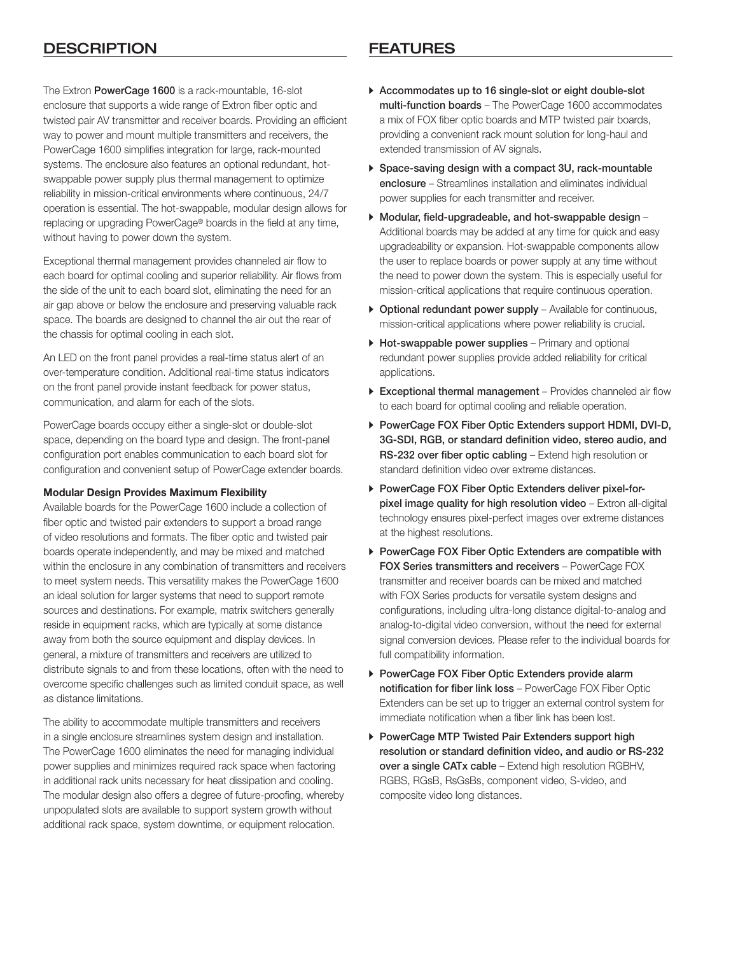### DESCRIPTION FEATURES

The Extron PowerCage 1600 is a rack-mountable, 16-slot enclosure that supports a wide range of Extron fiber optic and twisted pair AV transmitter and receiver boards. Providing an efficient way to power and mount multiple transmitters and receivers, the PowerCage 1600 simplifies integration for large, rack-mounted systems. The enclosure also features an optional redundant, hotswappable power supply plus thermal management to optimize reliability in mission-critical environments where continuous, 24/7 operation is essential. The hot-swappable, modular design allows for replacing or upgrading PowerCage® boards in the field at any time, without having to power down the system.

Exceptional thermal management provides channeled air flow to each board for optimal cooling and superior reliability. Air flows from the side of the unit to each board slot, eliminating the need for an air gap above or below the enclosure and preserving valuable rack space. The boards are designed to channel the air out the rear of the chassis for optimal cooling in each slot.

An LED on the front panel provides a real-time status alert of an over-temperature condition. Additional real-time status indicators on the front panel provide instant feedback for power status, communication, and alarm for each of the slots.

PowerCage boards occupy either a single-slot or double-slot space, depending on the board type and design. The front-panel configuration port enables communication to each board slot for configuration and convenient setup of PowerCage extender boards.

### Modular Design Provides Maximum Flexibility

Available boards for the PowerCage 1600 include a collection of fiber optic and twisted pair extenders to support a broad range of video resolutions and formats. The fiber optic and twisted pair boards operate independently, and may be mixed and matched within the enclosure in any combination of transmitters and receivers to meet system needs. This versatility makes the PowerCage 1600 an ideal solution for larger systems that need to support remote sources and destinations. For example, matrix switchers generally reside in equipment racks, which are typically at some distance away from both the source equipment and display devices. In general, a mixture of transmitters and receivers are utilized to distribute signals to and from these locations, often with the need to overcome specific challenges such as limited conduit space, as well as distance limitations.

The ability to accommodate multiple transmitters and receivers in a single enclosure streamlines system design and installation. The PowerCage 1600 eliminates the need for managing individual power supplies and minimizes required rack space when factoring in additional rack units necessary for heat dissipation and cooling. The modular design also offers a degree of future-proofing, whereby unpopulated slots are available to support system growth without additional rack space, system downtime, or equipment relocation.

- A Accommodates up to 16 single-slot or eight double-slot multi-function boards – The PowerCage 1600 accommodates a mix of FOX fiber optic boards and MTP twisted pair boards, providing a convenient rack mount solution for long-haul and extended transmission of AV signals.
- $\triangleright$  Space-saving design with a compact 3U, rack-mountable enclosure – Streamlines installation and eliminates individual power supplies for each transmitter and receiver.
- $\blacktriangleright$  Modular, field-upgradeable, and hot-swappable design Additional boards may be added at any time for quick and easy upgradeability or expansion. Hot-swappable components allow the user to replace boards or power supply at any time without the need to power down the system. This is especially useful for mission-critical applications that require continuous operation.
- $\triangleright$  Optional redundant power supply Available for continuous, mission-critical applications where power reliability is crucial.
- $\triangleright$  Hot-swappable power supplies Primary and optional redundant power supplies provide added reliability for critical applications.
- $\triangleright$  Exceptional thermal management Provides channeled air flow to each board for optimal cooling and reliable operation.
- ▶ PowerCage FOX Fiber Optic Extenders support HDMI, DVI-D, 3G-SDI, RGB, or standard definition video, stereo audio, and RS‑232 over fiber optic cabling – Extend high resolution or standard definition video over extreme distances.
- **PowerCage FOX Fiber Optic Extenders deliver pixel-for**pixel image quality for high resolution video – Extron all-digital technology ensures pixel-perfect images over extreme distances at the highest resolutions.
- A PowerCage FOX Fiber Optic Extenders are compatible with FOX Series transmitters and receivers – PowerCage FOX transmitter and receiver boards can be mixed and matched with FOX Series products for versatile system designs and configurations, including ultra-long distance digital-to-analog and analog-to-digital video conversion, without the need for external signal conversion devices. Please refer to the individual boards for full compatibility information.
- ▶ PowerCage FOX Fiber Optic Extenders provide alarm notification for fiber link loss – PowerCage FOX Fiber Optic Extenders can be set up to trigger an external control system for immediate notification when a fiber link has been lost.
- ▶ PowerCage MTP Twisted Pair Extenders support high resolution or standard definition video, and audio or RS‑232 over a single CATx cable – Extend high resolution RGBHV, RGBS, RGsB, RsGsBs, component video, S-video, and composite video long distances.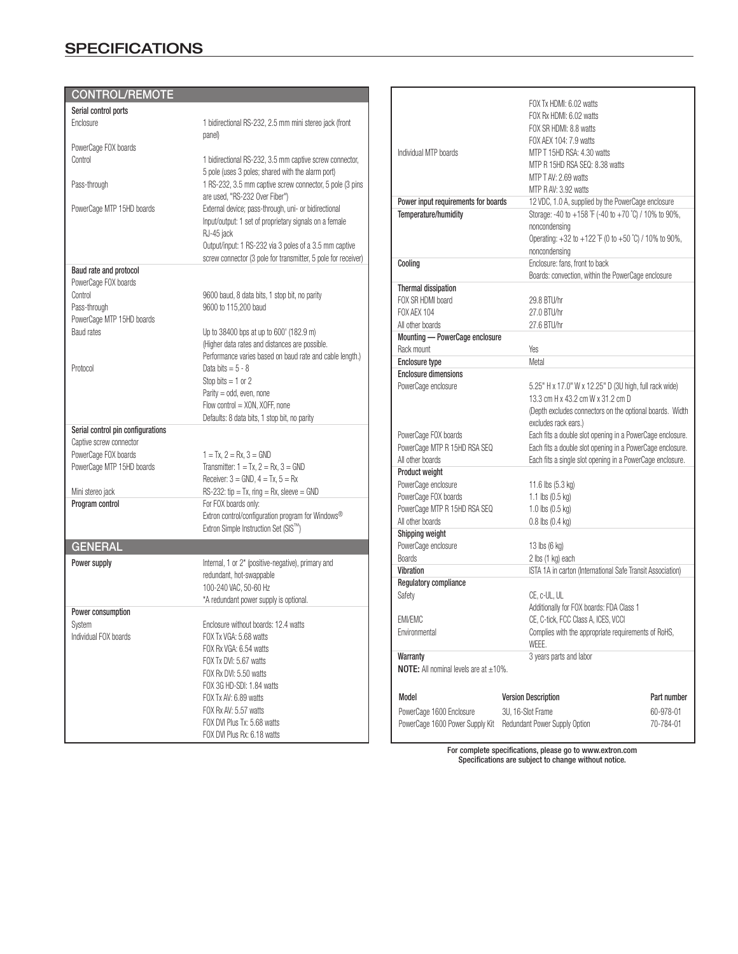### **SPECIFICATIONS**

| <b>CONTROL/REMOTE</b>                          |                                                                                                                         |                                                          |                                                                                                                                 |             |
|------------------------------------------------|-------------------------------------------------------------------------------------------------------------------------|----------------------------------------------------------|---------------------------------------------------------------------------------------------------------------------------------|-------------|
| Serial control ports                           |                                                                                                                         |                                                          | FOX Tx HDMI: 6.02 watts<br>FOX Rx HDMI: 6.02 watts                                                                              |             |
| Enclosure                                      | 1 bidirectional RS-232, 2.5 mm mini stereo jack (front                                                                  |                                                          | FOX SR HDMI: 8.8 watts                                                                                                          |             |
|                                                | panel)                                                                                                                  |                                                          |                                                                                                                                 |             |
| PowerCage FOX boards                           |                                                                                                                         | Individual MTP boards                                    | FOX AEX 104: 7.9 watts<br>MTP T 15HD RSA: 4.30 watts                                                                            |             |
| Control                                        | 1 bidirectional RS-232, 3.5 mm captive screw connector,                                                                 |                                                          |                                                                                                                                 |             |
|                                                | 5 pole (uses 3 poles; shared with the alarm port)                                                                       |                                                          | MTP R 15HD RSA SEQ: 8.38 watts                                                                                                  |             |
| Pass-through                                   | 1 RS-232, 3.5 mm captive screw connector, 5 pole (3 pins<br>are used, "RS-232 Over Fiber")                              |                                                          | MTP T AV: 2.69 watts<br>MTP R AV: 3.92 watts                                                                                    |             |
| PowerCage MTP 15HD boards                      | External device; pass-through, uni- or bidirectional                                                                    | Power input requirements for boards                      | 12 VDC, 1.0 A, supplied by the PowerCage enclosure                                                                              |             |
|                                                | Input/output: 1 set of proprietary signals on a female<br>RJ-45 jack                                                    | Temperature/humidity                                     | Storage: -40 to +158 °F (-40 to +70 °C) / 10% to 90%,<br>noncondensing<br>Operating: +32 to +122 °F (0 to +50 °C) / 10% to 90%, |             |
|                                                | Output/input: 1 RS-232 via 3 poles of a 3.5 mm captive<br>screw connector (3 pole for transmitter, 5 pole for receiver) |                                                          | noncondensing                                                                                                                   |             |
| Baud rate and protocol<br>PowerCage FOX boards |                                                                                                                         | Cooling                                                  | Enclosure: fans, front to back<br>Boards: convection, within the PowerCage enclosure                                            |             |
| Control                                        | 9600 baud, 8 data bits, 1 stop bit, no parity                                                                           | Thermal dissipation                                      |                                                                                                                                 |             |
| Pass-through                                   | 9600 to 115,200 baud                                                                                                    | FOX SR HDMI board                                        | 29.8 BTU/hr                                                                                                                     |             |
| PowerCage MTP 15HD boards                      |                                                                                                                         | <b>FOX AEX 104</b>                                       | 27.0 BTU/hr                                                                                                                     |             |
| <b>Baud rates</b>                              | Up to 38400 bps at up to 600' (182.9 m)                                                                                 | All other boards                                         | 27.6 BTU/hr                                                                                                                     |             |
|                                                | (Higher data rates and distances are possible.                                                                          | Mounting - PowerCage enclosure<br>Rack mount             | Yes                                                                                                                             |             |
|                                                | Performance varies based on baud rate and cable length.)                                                                | Enclosure type                                           | Metal                                                                                                                           |             |
| Protocol                                       | Data bits = $5 - 8$                                                                                                     | <b>Enclosure dimensions</b>                              |                                                                                                                                 |             |
|                                                | Stop bits $= 1$ or 2                                                                                                    | PowerCage enclosure                                      | 5.25" H x 17.0" W x 12.25" D (3U high, full rack wide)                                                                          |             |
|                                                | Parity = $odd$ , even, none                                                                                             |                                                          | 13.3 cm H x 43.2 cm W x 31.2 cm D                                                                                               |             |
|                                                | Flow control = XON, XOFF, none<br>Defaults: 8 data bits, 1 stop bit, no parity                                          | (Depth excludes connectors on the optional boards. Width |                                                                                                                                 |             |
| Serial control pin configurations              |                                                                                                                         |                                                          | excludes rack ears.)                                                                                                            |             |
| Captive screw connector                        |                                                                                                                         | PowerCage FOX boards                                     | Each fits a double slot opening in a PowerCage enclosure.                                                                       |             |
| PowerCage FOX boards                           | $1 = Tx$ , $2 = Rx$ , $3 = GND$                                                                                         | PowerCage MTP R 15HD RSA SEQ<br>All other boards         | Each fits a double slot opening in a PowerCage enclosure.<br>Each fits a single slot opening in a PowerCage enclosure.          |             |
| PowerCage MTP 15HD boards                      | Transmitter: $1 = Tx$ , $2 = Rx$ , $3 = GND$                                                                            | Product weight                                           |                                                                                                                                 |             |
|                                                | Receiver: $3 =$ GND, $4 =$ Tx, $5 =$ Rx                                                                                 | PowerCage enclosure                                      | 11.6 lbs $(5.3 \text{ kg})$                                                                                                     |             |
| Mini stereo jack                               | $RS-232$ : tip = Tx, ring = Rx, sleeve = GND                                                                            | PowerCage FOX boards                                     | 1.1 lbs (0.5 kg)                                                                                                                |             |
| Program control                                | For FOX boards only:                                                                                                    | PowerCage MTP R 15HD RSA SEQ                             | 1.0 lbs (0.5 kg)                                                                                                                |             |
|                                                | Extron control/configuration program for Windows®                                                                       | All other boards                                         | $0.8$ lbs $(0.4$ kg)                                                                                                            |             |
|                                                | Extron Simple Instruction Set (SIS™)                                                                                    | Shipping weight                                          |                                                                                                                                 |             |
| <b>GENERAL</b>                                 |                                                                                                                         | PowerCage enclosure                                      | 13 lbs (6 kg)                                                                                                                   |             |
|                                                |                                                                                                                         | <b>Boards</b>                                            | 2 lbs (1 kg) each                                                                                                               |             |
| Power supply                                   | Internal, 1 or 2* (positive-negative), primary and                                                                      | Vibration                                                | ISTA 1A in carton (International Safe Transit Association)                                                                      |             |
|                                                | redundant, hot-swappable                                                                                                | Regulatory compliance                                    |                                                                                                                                 |             |
|                                                | 100-240 VAC, 50-60 Hz                                                                                                   | Safety                                                   | CE. c-UL. UL                                                                                                                    |             |
|                                                | *A redundant power supply is optional.                                                                                  |                                                          | Additionally for FOX boards: FDA Class 1                                                                                        |             |
| Power consumption                              |                                                                                                                         | <b>EMI/EMC</b>                                           | CE, C-tick, FCC Class A, ICES, VCCI                                                                                             |             |
| System                                         | Enclosure without boards: 12.4 watts                                                                                    | Environmental                                            | Complies with the appropriate requirements of RoHS,                                                                             |             |
| Individual FOX boards                          | FOX Tx VGA: 5.68 watts                                                                                                  |                                                          | WEEE.                                                                                                                           |             |
|                                                | FOX Rx VGA: 6.54 watts                                                                                                  | Warranty                                                 | 3 years parts and labor                                                                                                         |             |
|                                                | FOX Tx DVI: 5.67 watts                                                                                                  | <b>NOTE:</b> All nominal levels are at $\pm 10\%$ .      |                                                                                                                                 |             |
|                                                | FOX Rx DVI: 5.50 watts                                                                                                  |                                                          |                                                                                                                                 |             |
|                                                | FOX 3G HD-SDI: 1.84 watts                                                                                               | Model                                                    | <b>Version Description</b>                                                                                                      |             |
|                                                | FOX Tx AV: 6.89 watts                                                                                                   |                                                          |                                                                                                                                 | Part number |
|                                                | FOX Rx AV: 5.57 watts                                                                                                   | PowerCage 1600 Enclosure                                 | 3U, 16-Slot Frame                                                                                                               | 60-978-01   |
|                                                | FOX DVI Plus Tx: 5.68 watts                                                                                             | PowerCage 1600 Power Supply Kit                          | Redundant Power Supply Option                                                                                                   | 70-784-01   |
|                                                | FOX DVI Plus Rx: 6.18 watts                                                                                             |                                                          | For complete specifications, please go to www.extron.com                                                                        |             |

Specifications are subject to change without notice.